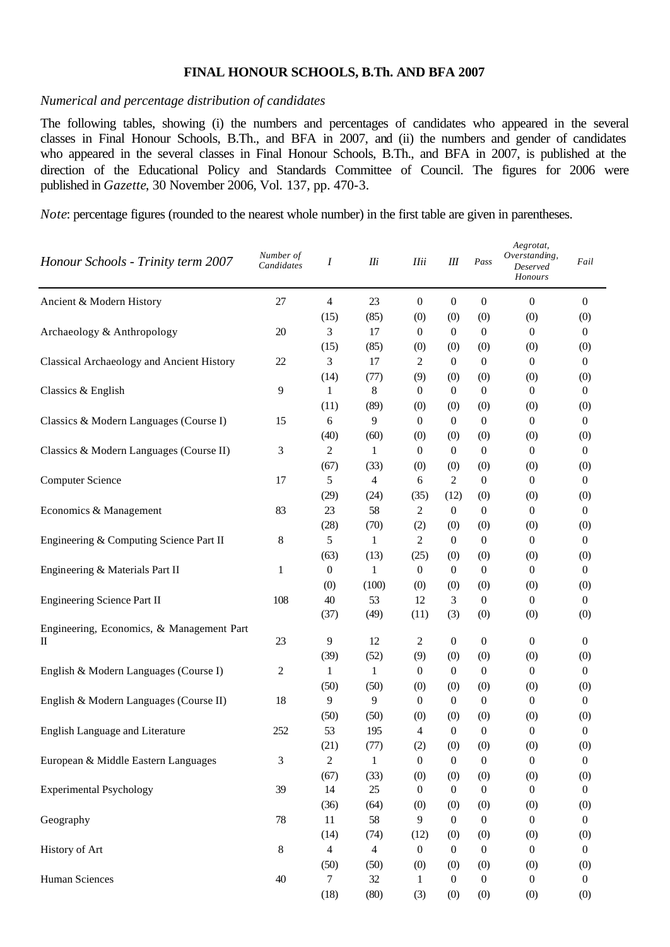## **FINAL HONOUR SCHOOLS, B.Th. AND BFA 2007**

## *Numerical and percentage distribution of candidates*

The following tables, showing (i) the numbers and percentages of candidates who appeared in the several classes in Final Honour Schools, B.Th., and BFA in 2007, and (ii) the numbers and gender of candidates who appeared in the several classes in Final Honour Schools, B.Th., and BFA in 2007, is published at the direction of the Educational Policy and Standards Committee of Council. The figures for 2006 were published in *Gazette*, 30 November 2006, Vol. 137, pp. 470-3.

*Note*: percentage figures (rounded to the nearest whole number) in the first table are given in parentheses.

| Honour Schools - Trinity term 2007             | Number of<br>Candidates | I                | $I\!I\!i$    | <b>Ilii</b>      | Ш                | Pass             | Aegrotat,<br>Overstanding,<br>Deserved<br>Honours | Fail             |
|------------------------------------------------|-------------------------|------------------|--------------|------------------|------------------|------------------|---------------------------------------------------|------------------|
| Ancient & Modern History                       | 27                      | 4                | 23           | $\boldsymbol{0}$ | $\boldsymbol{0}$ | $\boldsymbol{0}$ | $\boldsymbol{0}$                                  | $\overline{0}$   |
|                                                |                         | (15)             | (85)         | (0)              | (0)              | (0)              | (0)                                               | (0)              |
| Archaeology & Anthropology                     | 20                      | 3                | 17           | $\boldsymbol{0}$ | $\boldsymbol{0}$ | $\boldsymbol{0}$ | $\theta$                                          | $\theta$         |
|                                                |                         | (15)             | (85)         | (0)              | (0)              | (0)              | (0)                                               | (0)              |
| Classical Archaeology and Ancient History      | 22                      | 3                | 17           | 2                | $\boldsymbol{0}$ | $\boldsymbol{0}$ | $\theta$                                          | $\mathbf{0}$     |
|                                                |                         | (14)             | (77)         | (9)              | (0)              | (0)              | (0)                                               | (0)              |
| Classics & English                             | 9                       | $\mathbf{1}$     | $8\,$        | $\boldsymbol{0}$ | $\boldsymbol{0}$ | $\boldsymbol{0}$ | $\boldsymbol{0}$                                  | $\boldsymbol{0}$ |
|                                                |                         | (11)             | (89)         | (0)              | (0)              | (0)              | (0)                                               | (0)              |
| Classics & Modern Languages (Course I)         | 15                      | 6                | 9            | $\boldsymbol{0}$ | $\boldsymbol{0}$ | $\boldsymbol{0}$ | $\mathbf{0}$                                      | $\boldsymbol{0}$ |
|                                                |                         | (40)             | (60)         | (0)              | (0)              | (0)              | (0)                                               | (0)              |
| Classics & Modern Languages (Course II)        | 3                       | 2                | 1            | $\mathbf{0}$     | $\boldsymbol{0}$ | $\boldsymbol{0}$ | $\boldsymbol{0}$                                  | $\boldsymbol{0}$ |
|                                                |                         | (67)             | (33)         | (0)              | (0)              | (0)              | (0)                                               | (0)              |
| <b>Computer Science</b>                        | 17                      | 5                | 4            | 6                | 2                | $\boldsymbol{0}$ | $\theta$                                          | $\theta$         |
|                                                |                         | (29)             | (24)         | (35)             | (12)             | (0)              | (0)                                               | (0)              |
| Economics & Management                         | 83                      | 23               | 58           | 2                | $\boldsymbol{0}$ | $\boldsymbol{0}$ | $\boldsymbol{0}$                                  | $\boldsymbol{0}$ |
|                                                |                         | (28)             | (70)         | (2)              | (0)              | (0)              | (0)                                               | (0)              |
| Engineering & Computing Science Part II        | 8                       | 5                | $\mathbf{1}$ | 2                | $\boldsymbol{0}$ | $\boldsymbol{0}$ | $\theta$                                          | $\boldsymbol{0}$ |
|                                                |                         | (63)             | (13)         | (25)             | (0)              | (0)              | (0)                                               | (0)              |
| Engineering & Materials Part II                | 1                       | $\boldsymbol{0}$ | $\mathbf{1}$ | $\boldsymbol{0}$ | $\boldsymbol{0}$ | $\boldsymbol{0}$ | $\mathbf{0}$                                      | $\boldsymbol{0}$ |
|                                                |                         | (0)              | (100)        | (0)              | (0)              | (0)              | (0)                                               | (0)              |
| <b>Engineering Science Part II</b>             | 108                     | 40               | 53           | 12               | 3                | $\boldsymbol{0}$ | $\boldsymbol{0}$                                  | $\boldsymbol{0}$ |
|                                                |                         | (37)             | (49)         | (11)             | (3)              | (0)              | (0)                                               | (0)              |
| Engineering, Economics, & Management Part<br>П | 23                      | 9                | 12           | 2                | $\boldsymbol{0}$ | $\boldsymbol{0}$ | $\mathbf{0}$                                      | $\mathbf{0}$     |
|                                                |                         | (39)             | (52)         | (9)              | (0)              | (0)              | (0)                                               | (0)              |
| English & Modern Languages (Course I)          | $\mathbf{2}$            | $\mathbf{1}$     | $\mathbf{1}$ | $\boldsymbol{0}$ | $\boldsymbol{0}$ | $\boldsymbol{0}$ | $\boldsymbol{0}$                                  | $\boldsymbol{0}$ |
|                                                |                         | (50)             | (50)         | (0)              | (0)              | (0)              | (0)                                               | (0)              |
| English & Modern Languages (Course II)         | 18                      | 9                | 9            | $\boldsymbol{0}$ | $\boldsymbol{0}$ | $\boldsymbol{0}$ | $\boldsymbol{0}$                                  | $\boldsymbol{0}$ |
|                                                |                         | (50)             | (50)         | (0)              | (0)              | (0)              | (0)                                               | (0)              |
| English Language and Literature                | 252                     | 53               | 195          | 4                | $\boldsymbol{0}$ | $\boldsymbol{0}$ | $\boldsymbol{0}$                                  | $\boldsymbol{0}$ |
|                                                |                         | (21)             | (77)         | (2)              | (0)              | (0)              | (0)                                               | (0)              |
| European & Middle Eastern Languages            | $\mathfrak{Z}$          | $\mathfrak 2$    | 1            | $\boldsymbol{0}$ | $\boldsymbol{0}$ | $\boldsymbol{0}$ | $\boldsymbol{0}$                                  | $\boldsymbol{0}$ |
|                                                |                         | (67)             | (33)         | (0)              | (0)              | (0)              | (0)                                               | (0)              |
| <b>Experimental Psychology</b>                 | 39                      | 14               | 25           | $\theta$         | $\boldsymbol{0}$ | $\boldsymbol{0}$ | $\theta$                                          | $\theta$         |
|                                                |                         | (36)             | (64)         | (0)              | (0)              | (0)              | (0)                                               | (0)              |
| Geography                                      | 78                      | 11               | 58           | 9                | $\mathbf{0}$     | $\boldsymbol{0}$ | $\Omega$                                          | $\theta$         |
|                                                |                         | (14)             | (74)         | (12)             | (0)              | (0)              | (0)                                               | (0)              |
| History of Art                                 | $\,8\,$                 | 4                | 4            | 0                | $\boldsymbol{0}$ | $\boldsymbol{0}$ | $\theta$                                          | 0                |
|                                                |                         | (50)             | (50)         | (0)              | (0)              | (0)              | (0)                                               | (0)              |
| <b>Human Sciences</b>                          | 40                      | $\tau$           | 32           |                  | $\boldsymbol{0}$ | $\boldsymbol{0}$ | 0                                                 | $\boldsymbol{0}$ |
|                                                |                         | (18)             | (80)         | (3)              | (0)              | (0)              | (0)                                               | (0)              |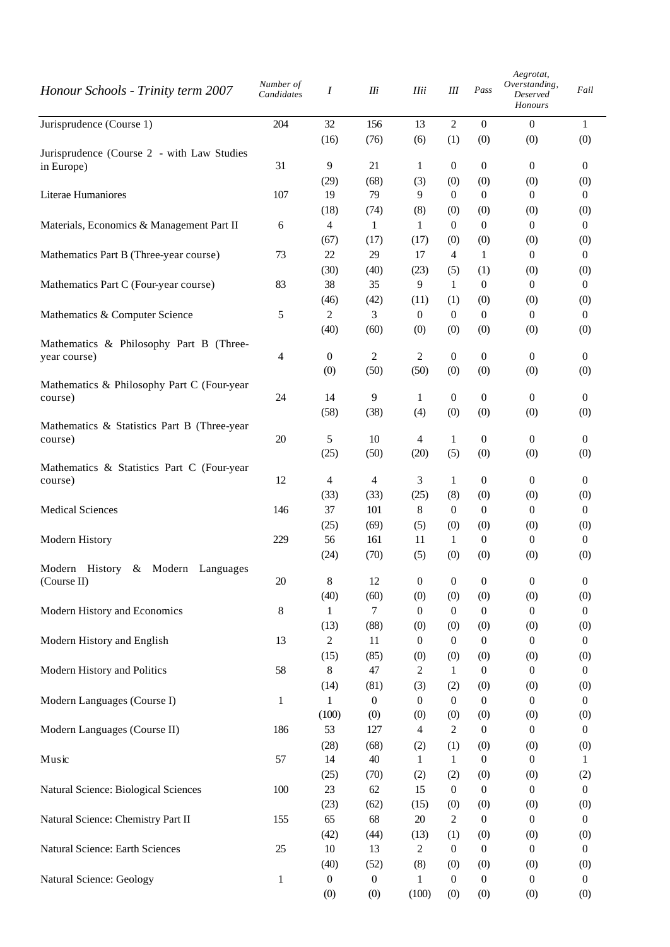| Honour Schools - Trinity term 2007                       | Number of<br>Candidates | Ι                       | IIi                     | <b>IIii</b>              | Ш                       | Pass                    | Aegrotat,<br>Overstanding,<br>Deserved<br>Honours | Fail                    |
|----------------------------------------------------------|-------------------------|-------------------------|-------------------------|--------------------------|-------------------------|-------------------------|---------------------------------------------------|-------------------------|
| Jurisprudence (Course 1)                                 | 204                     | 32                      | 156                     | 13                       | $\overline{2}$          | $\Omega$                | $\mathbf{0}$                                      | $\mathbf{1}$            |
| Jurisprudence (Course 2 - with Law Studies<br>in Europe) | 31                      | (16)<br>9               | (76)<br>21              | (6)<br>1                 | (1)<br>$\boldsymbol{0}$ | (0)<br>$\boldsymbol{0}$ | (0)<br>0                                          | (0)<br>$\mathbf{0}$     |
| Literae Humaniores                                       | 107                     | (29)<br>19              | (68)<br>79              | (3)<br>9                 | (0)<br>$\overline{0}$   | (0)<br>$\theta$         | (0)<br>$\theta$                                   | (0)<br>$\mathbf{0}$     |
| Materials, Economics & Management Part II                | 6                       | (18)<br>4               | (74)<br>1               | (8)<br>1                 | (0)<br>$\theta$         | (0)<br>$\overline{0}$   | (0)<br>$\theta$                                   | (0)<br>$\overline{0}$   |
| Mathematics Part B (Three-year course)                   | 73                      | (67)<br>22              | (17)<br>29              | (17)<br>17               | (0)<br>$\overline{4}$   | (0)<br>$\mathbf{1}$     | (0)<br>$\theta$                                   | (0)<br>$\overline{0}$   |
| Mathematics Part C (Four-year course)                    | 83                      | (30)<br>38              | (40)<br>35              | (23)<br>9                | (5)<br>1                | (1)<br>$\boldsymbol{0}$ | (0)<br>$\overline{0}$                             | (0)<br>$\boldsymbol{0}$ |
| Mathematics & Computer Science                           | 5                       | (46)<br>$\overline{c}$  | (42)<br>3               | (11)<br>$\boldsymbol{0}$ | (1)<br>$\overline{0}$   | (0)<br>$\theta$         | (0)<br>$\theta$                                   | (0)<br>$\boldsymbol{0}$ |
| Mathematics & Philosophy Part B (Three-                  |                         | (40)                    | (60)                    | (0)                      | (0)                     | (0)                     | (0)                                               | (0)                     |
| year course)                                             | 4                       | $\boldsymbol{0}$<br>(0) | $\overline{c}$<br>(50)  | 2<br>(50)                | $\mathbf{0}$<br>(0)     | $\boldsymbol{0}$<br>(0) | $\theta$<br>(0)                                   | $\theta$<br>(0)         |
| Mathematics & Philosophy Part C (Four-year<br>course)    | 24                      | 14                      | 9                       | $\mathbf{1}$             | $\boldsymbol{0}$        | $\boldsymbol{0}$        | $\boldsymbol{0}$                                  | $\boldsymbol{0}$        |
| Mathematics & Statistics Part B (Three-year<br>course)   | 20                      | (58)<br>5               | (38)<br>10              | (4)<br>4                 | (0)<br>$\mathbf{1}$     | (0)<br>$\boldsymbol{0}$ | (0)<br>$\theta$                                   | (0)<br>$\overline{0}$   |
| Mathematics & Statistics Part C (Four-year               |                         | (25)                    | (50)                    | (20)                     | (5)                     | (0)                     | (0)                                               | (0)                     |
| course)                                                  | 12                      | 4<br>(33)               | 4<br>(33)               | 3<br>(25)                | 1<br>(8)                | $\boldsymbol{0}$<br>(0) | $\boldsymbol{0}$<br>(0)                           | $\overline{0}$<br>(0)   |
| <b>Medical Sciences</b>                                  | 146                     | 37<br>(25)              | 101<br>(69)             | 8<br>(5)                 | $\theta$<br>(0)         | $\theta$<br>(0)         | $\theta$<br>(0)                                   | $\theta$<br>(0)         |
| Modern History                                           | 229                     | 56<br>(24)              | 161<br>(70)             | 11<br>(5)                | $\mathbf{1}$<br>(0)     | $\boldsymbol{0}$<br>(0) | $\boldsymbol{0}$<br>(0)                           | $\boldsymbol{0}$<br>(0) |
| Modern History<br>& Modern<br>Languages<br>(Course II)   | $20\,$                  | $\,8\,$<br>(40)         | 12<br>(60)              | $\boldsymbol{0}$<br>(0)  | $\boldsymbol{0}$<br>(0) | $\boldsymbol{0}$<br>(0) | $\boldsymbol{0}$<br>(0)                           | $\boldsymbol{0}$<br>(0) |
| Modern History and Economics                             | 8                       | 1<br>(13)               | 7<br>(88)               | 0<br>(0)                 | $\boldsymbol{0}$<br>(0) | $\overline{0}$<br>(0)   | $\theta$<br>(0)                                   | $\theta$<br>(0)         |
| Modern History and English                               | 13                      | $\sqrt{2}$<br>(15)      | 11<br>(85)              | $\boldsymbol{0}$<br>(0)  | $\boldsymbol{0}$<br>(0) | $\boldsymbol{0}$<br>(0) | $\boldsymbol{0}$<br>(0)                           | $\boldsymbol{0}$<br>(0) |
| Modern History and Politics                              | 58                      | $\,8\,$<br>(14)         | $47\,$<br>(81)          | 2<br>(3)                 | 1<br>(2)                | $\boldsymbol{0}$<br>(0) | $\boldsymbol{0}$<br>(0)                           | $\overline{0}$<br>(0)   |
| Modern Languages (Course I)                              | $\mathbf{1}$            | $\mathbf{1}$<br>(100)   | $\boldsymbol{0}$<br>(0) | $\boldsymbol{0}$<br>(0)  | $\boldsymbol{0}$<br>(0) | $\theta$<br>(0)         | $\theta$<br>(0)                                   | $\theta$<br>(0)         |
| Modern Languages (Course II)                             | 186                     | 53<br>(28)              | 127<br>(68)             | 4<br>(2)                 | $\overline{c}$<br>(1)   | $\boldsymbol{0}$<br>(0) | $\boldsymbol{0}$<br>(0)                           | $\boldsymbol{0}$<br>(0) |
| Music                                                    | 57                      | 14<br>(25)              | 40<br>(70)              | 1<br>(2)                 | 1<br>(2)                | $\boldsymbol{0}$<br>(0) | $\theta$<br>(0)                                   | 1<br>(2)                |
| Natural Science: Biological Sciences                     | 100                     | $23\,$<br>(23)          | 62<br>(62)              | 15<br>(15)               | $\boldsymbol{0}$<br>(0) | $\boldsymbol{0}$<br>(0) | $\boldsymbol{0}$<br>(0)                           | $\boldsymbol{0}$<br>(0) |
| Natural Science: Chemistry Part II                       | 155                     | 65<br>(42)              | 68<br>(44)              | 20<br>(13)               | $\overline{c}$<br>(1)   | $\boldsymbol{0}$<br>(0) | $\boldsymbol{0}$<br>(0)                           | $\overline{0}$<br>(0)   |
| Natural Science: Earth Sciences                          | 25                      | 10<br>(40)              | 13<br>(52)              | 2<br>(8)                 | $\boldsymbol{0}$<br>(0) | $\mathbf{0}$<br>(0)     | $\theta$<br>(0)                                   | $\theta$<br>(0)         |
| Natural Science: Geology                                 | $\mathbf{1}$            | $\boldsymbol{0}$<br>(0) | $\boldsymbol{0}$<br>(0) | 1<br>(100)               | $\mathbf{0}$<br>(0)     | $\mathbf{0}$<br>(0)     | 0<br>(0)                                          | $\boldsymbol{0}$<br>(0) |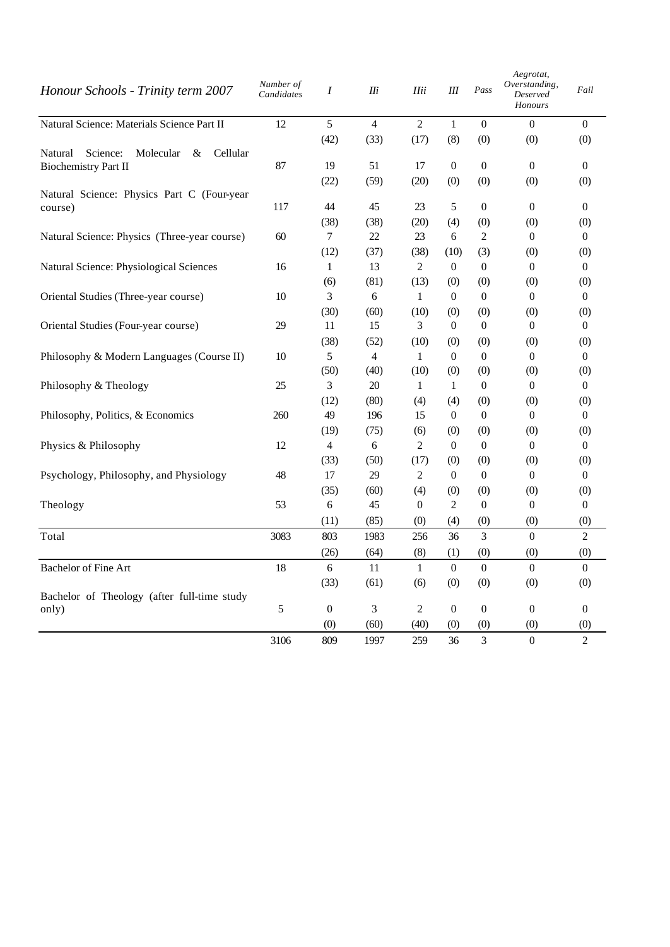| Honour Schools - Trinity term 2007                | Number of<br>Candidates | Ι              | IIi            | <b>IIii</b>    | Ш                | Pass             | Aegrotat,<br>Overstanding,<br>Deserved<br>Honours | Fail           |
|---------------------------------------------------|-------------------------|----------------|----------------|----------------|------------------|------------------|---------------------------------------------------|----------------|
| Natural Science: Materials Science Part II        | 12                      | 5              | $\overline{4}$ | $\overline{2}$ | $\mathbf{1}$     | $\boldsymbol{0}$ | $\overline{0}$                                    | $\overline{0}$ |
|                                                   |                         | (42)           | (33)           | (17)           | (8)              | (0)              | (0)                                               | (0)            |
| Molecular<br>Cellular<br>Natural<br>Science:<br>& |                         |                |                |                |                  |                  |                                                   |                |
| <b>Biochemistry Part II</b>                       | 87                      | 19             | 51             | 17             | $\overline{0}$   | $\theta$         | $\Omega$                                          | $\Omega$       |
| Natural Science: Physics Part C (Four-year        |                         | (22)           | (59)           | (20)           | (0)              | (0)              | (0)                                               | (0)            |
| course)                                           | 117                     | 44             | 45             | 23             | 5                | $\boldsymbol{0}$ | $\overline{0}$                                    | $\overline{0}$ |
|                                                   |                         | (38)           | (38)           | (20)           | (4)              | (0)              | (0)                                               | (0)            |
| Natural Science: Physics (Three-year course)      | 60                      | $\tau$         | 22             | 23             | 6                | $\overline{c}$   | $\overline{0}$                                    | $\overline{0}$ |
|                                                   |                         | (12)           | (37)           | (38)           | (10)             | (3)              | (0)                                               | (0)            |
| Natural Science: Physiological Sciences           | 16                      | $\mathbf{1}$   | 13             | $\overline{2}$ | $\overline{0}$   | $\boldsymbol{0}$ | $\overline{0}$                                    | $\overline{0}$ |
|                                                   |                         | (6)            | (81)           | (13)           | (0)              | (0)              | (0)                                               | (0)            |
| Oriental Studies (Three-year course)              | 10                      | 3              | 6              | $\mathbf{1}$   | $\overline{0}$   | $\mathbf{0}$     | $\overline{0}$                                    | $\overline{0}$ |
|                                                   |                         | (30)           | (60)           | (10)           | (0)              | (0)              | (0)                                               | (0)            |
| Oriental Studies (Four-year course)               | 29                      | 11             | 15             | 3              | $\overline{0}$   | $\mathbf{0}$     | $\theta$                                          | $\Omega$       |
|                                                   |                         | (38)           | (52)           | (10)           | (0)              | (0)              | (0)                                               | (0)            |
| Philosophy & Modern Languages (Course II)         | 10                      | 5              | $\overline{4}$ | 1              | $\overline{0}$   | $\mathbf{0}$     | $\overline{0}$                                    | $\overline{0}$ |
|                                                   |                         | (50)           | (40)           | (10)           | (0)              | (0)              | (0)                                               | (0)            |
| Philosophy & Theology                             | 25                      | 3              | 20             | 1              | $\mathbf{1}$     | $\mathbf{0}$     | $\overline{0}$                                    | $\overline{0}$ |
|                                                   |                         | (12)           | (80)           | (4)            | (4)              | (0)              | (0)                                               | (0)            |
| Philosophy, Politics, & Economics                 | 260                     | 49             | 196            | 15             | $\boldsymbol{0}$ | $\boldsymbol{0}$ | $\overline{0}$                                    | $\overline{0}$ |
|                                                   |                         | (19)           | (75)           | (6)            | (0)              | (0)              | (0)                                               | (0)            |
| Physics & Philosophy                              | 12                      | $\overline{4}$ | 6              | $\overline{2}$ | $\overline{0}$   | $\boldsymbol{0}$ | $\Omega$                                          | $\Omega$       |
|                                                   |                         | (33)           | (50)           | (17)           | (0)              | (0)              | (0)                                               | (0)            |
| Psychology, Philosophy, and Physiology            | 48                      | 17             | 29             | $\overline{2}$ | $\boldsymbol{0}$ | $\boldsymbol{0}$ | $\overline{0}$                                    | $\overline{0}$ |
|                                                   |                         | (35)           | (60)           | (4)            | (0)              | (0)              | (0)                                               | (0)            |
| Theology                                          | 53                      | 6              | 45             | $\overline{0}$ | $\overline{c}$   | $\boldsymbol{0}$ | $\overline{0}$                                    | $\overline{0}$ |
|                                                   |                         | (11)           | (85)           | (0)            | (4)              | (0)              | (0)                                               | (0)            |
| Total                                             | 3083                    | 803            | 1983           | 256            | 36               | 3                | $\Omega$                                          | $\mathcal{L}$  |
|                                                   |                         | (26)           | (64)           | (8)            | (1)              | (0)              | (0)                                               | (0)            |
| <b>Bachelor of Fine Art</b>                       | 18                      | 6              | 11             | $\mathbf{1}$   | $\boldsymbol{0}$ | $\boldsymbol{0}$ | $\Omega$                                          | $\Omega$       |
|                                                   |                         | (33)           | (61)           | (6)            | (0)              | (0)              | (0)                                               | (0)            |
| Bachelor of Theology (after full-time study       |                         |                |                |                |                  |                  |                                                   |                |
| only)                                             | 5                       | $\overline{0}$ | 3              | 2              | $\overline{0}$   | $\mathbf{0}$     | $\overline{0}$                                    | $\mathbf{0}$   |
|                                                   |                         | (0)            | (60)           | (40)           | (0)              | (0)              | (0)                                               | (0)            |
|                                                   | 3106                    | 809            | 1997           | 259            | 36               | 3                | $\overline{0}$                                    | $\overline{c}$ |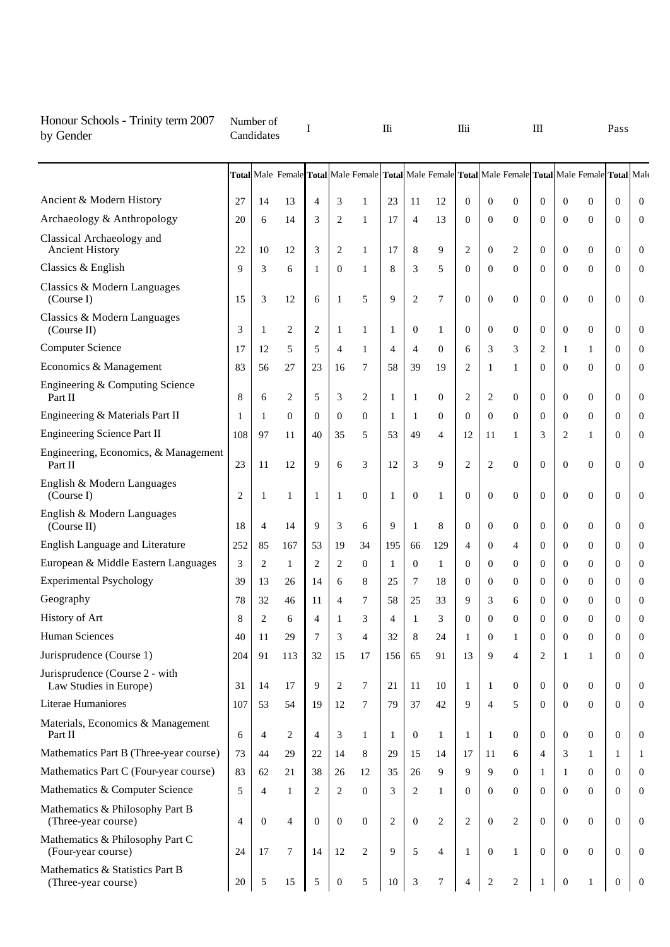| Honour Schools - Trinity term 2007<br>by Gender          |                | Number of<br>Candidates |                | I              |                |                                                                                                 | IIi            |                  |                | IIii           |                  |                  | Ш                |                  |                | Pass             |                  |
|----------------------------------------------------------|----------------|-------------------------|----------------|----------------|----------------|-------------------------------------------------------------------------------------------------|----------------|------------------|----------------|----------------|------------------|------------------|------------------|------------------|----------------|------------------|------------------|
|                                                          |                |                         |                |                |                | Total Male Female Total Male Female Total Male Female Total Male Female Total Male Female Total |                |                  |                |                |                  |                  |                  |                  |                |                  | Male             |
| Ancient & Modern History                                 | 27             | 14                      | 13             | $\overline{4}$ | 3              | 1                                                                                               | 23             | 11               | 12             | $\theta$       | $\mathbf{0}$     | $\theta$         | $\overline{0}$   | $\overline{0}$   | $\overline{0}$ | $\overline{0}$   | $\mathbf{0}$     |
| Archaeology & Anthropology                               | 20             | 6                       | 14             | 3              | $\overline{2}$ | 1                                                                                               | 17             | $\overline{4}$   | 13             | $\overline{0}$ | $\mathbf{0}$     | $\theta$         | $\overline{0}$   | $\boldsymbol{0}$ | $\mathbf{0}$   | $\overline{0}$   | $\mathbf{0}$     |
| Classical Archaeology and<br><b>Ancient History</b>      | 22             | 10                      | 12             | 3              | $\overline{2}$ | 1                                                                                               | 17             | 8                | 9              | $\overline{c}$ | $\mathbf{0}$     | $\overline{c}$   | $\overline{0}$   | $\boldsymbol{0}$ | $\overline{0}$ | $\overline{0}$   | $\boldsymbol{0}$ |
| Classics & English                                       | 9              | 3                       | 6              | 1              | $\Omega$       | 1                                                                                               | 8              | 3                | 5              | $\Omega$       | $\Omega$         | $\theta$         | $\Omega$         | $\overline{0}$   | $\Omega$       | $\Omega$         | $\mathbf{0}$     |
| Classics & Modern Languages<br>(Course I)                | 15             | 3                       | 12             | 6              | 1              | 5                                                                                               | 9              | $\overline{2}$   | 7              | $\theta$       | $\Omega$         | $\theta$         | $\Omega$         | $\overline{0}$   | $\Omega$       | $\Omega$         | $\mathbf{0}$     |
| Classics & Modern Languages<br>(Course II)               | 3              | 1                       | 2              | 2              | 1              | $\mathbf{1}$                                                                                    | 1              | $\boldsymbol{0}$ | 1              | $\mathbf{0}$   | $\mathbf{0}$     | $\boldsymbol{0}$ | $\overline{0}$   | $\overline{0}$   | $\mathbf{0}$   | $\Omega$         | $\boldsymbol{0}$ |
| <b>Computer Science</b>                                  | 17             | 12                      | 5              | 5              | $\overline{4}$ | 1                                                                                               | $\overline{4}$ | $\overline{4}$   | $\mathbf{0}$   | 6              | 3                | 3                | 2                | $\mathbf{1}$     | 1              | $\overline{0}$   | $\boldsymbol{0}$ |
| Economics & Management                                   | 83             | 56                      | 27             | 23             | 16             | 7                                                                                               | 58             | 39               | 19             | $\overline{c}$ | 1                | 1                | $\overline{0}$   | $\boldsymbol{0}$ | $\mathbf{0}$   | $\theta$         | $\overline{0}$   |
| Engineering & Computing Science<br>Part II               | 8              | 6                       | 2              | 5              | 3              | $\overline{2}$                                                                                  | $\mathbf{1}$   | 1                | $\mathbf{0}$   | $\overline{c}$ | 2                | $\boldsymbol{0}$ | $\overline{0}$   | $\overline{0}$   | $\mathbf{0}$   | $\overline{0}$   | $\boldsymbol{0}$ |
| Engineering & Materials Part II                          | 1              | 1                       | $\mathbf{0}$   | $\mathbf{0}$   | $\mathbf{0}$   | $\theta$                                                                                        | $\mathbf{1}$   | 1                | $\mathbf{0}$   | $\mathbf{0}$   | $\Omega$         | $\boldsymbol{0}$ | $\overline{0}$   | $\overline{0}$   | $\mathbf{0}$   | $\overline{0}$   | $\boldsymbol{0}$ |
| <b>Engineering Science Part II</b>                       | 108            | 97                      | 11             | 40             | 35             | 5                                                                                               | 53             | 49               | 4              | 12             | 11               | 1                | 3                | $\overline{c}$   | 1              | $\Omega$         | $\boldsymbol{0}$ |
| Engineering, Economics, & Management<br>Part II          | 23             | 11                      | 12             | 9              | 6              | 3                                                                                               | 12             | 3                | 9              | $\overline{2}$ | $\overline{2}$   | $\theta$         | $\overline{0}$   | $\overline{0}$   | $\mathbf{0}$   | $\Omega$         | $\boldsymbol{0}$ |
| English & Modern Languages<br>(Course I)                 | $\overline{2}$ | 1                       | 1              | 1              | 1              | $\mathbf{0}$                                                                                    | 1              | $\theta$         | 1              | $\overline{0}$ | $\mathbf{0}$     | $\boldsymbol{0}$ | $\overline{0}$   | $\boldsymbol{0}$ | $\mathbf{0}$   | $\overline{0}$   | $\mathbf{0}$     |
| English & Modern Languages<br>(Course II)                | 18             | $\overline{4}$          | 14             | 9              | 3              | 6                                                                                               | 9              | 1                | 8              | $\overline{0}$ | $\theta$         | $\boldsymbol{0}$ | $\overline{0}$   | $\overline{0}$   | $\overline{0}$ | $\overline{0}$   | $\boldsymbol{0}$ |
| English Language and Literature                          | 252            | 85                      | 167            | 53             | 19             | 34                                                                                              | 195            | 66               | 129            | $\overline{4}$ | $\Omega$         | 4                | $\overline{0}$   | $\overline{0}$   | $\mathbf{0}$   | $\Omega$         | $\mathbf{0}$     |
| European & Middle Eastern Languages                      | 3              | 2                       | 1              | 2              | $\overline{2}$ | $\theta$                                                                                        | 1              | $\theta$         | 1              | $\theta$       | $\Omega$         | $\boldsymbol{0}$ | $\overline{0}$   | $\boldsymbol{0}$ | $\overline{0}$ | $\mathbf{0}$     | $\boldsymbol{0}$ |
| <b>Experimental Psychology</b>                           | 39             | 13                      | 26             | 14             | 6              | 8                                                                                               | 25             | 7                | 18             | $\overline{0}$ | $\Omega$         | $\boldsymbol{0}$ | 0                | $\overline{0}$   | $\mathbf{0}$   | $\overline{0}$   | $\overline{0}$   |
| Geography                                                | 78             | 32                      | 46             | 11             | $\overline{4}$ | 7                                                                                               | 58             | 25               | 33             | 9              | 3                | 6                | $\theta$         | $\theta$         | $\Omega$       | $\theta$         | $\overline{0}$   |
| History of Art                                           | 8              | $\overline{2}$          | 6              | Δ              |                | 3                                                                                               | Δ              | 1                | 3              | $\Omega$       | $\overline{0}$   | $\theta$         | $\overline{0}$   | $\overline{0}$   | $\Omega$       | $\overline{0}$   | $\overline{0}$   |
| Human Sciences                                           | 40             | 11                      | 29             | 7              | 3              | $\overline{4}$                                                                                  | 32             | 8                | 24             | $\mathbf{1}$   | $\mathbf{0}$     | 1                | $\boldsymbol{0}$ | $\mathbf{0}$     | $\mathbf{0}$   | $\overline{0}$   | $\mathbf{0}$     |
| Jurisprudence (Course 1)                                 | 204            | 91                      | 113            | 32             | 15             | 17                                                                                              | 156            | 65               | 91             | 13             | 9                | $\overline{4}$   | 2                | $\mathbf{1}$     | $\mathbf{1}$   | $\Omega$         | $\mathbf{0}$     |
| Jurisprudence (Course 2 - with<br>Law Studies in Europe) | 31             | 14                      | 17             | 9              | $\overline{2}$ | $\tau$                                                                                          | 21             | 11               | 10             | $\mathbf{1}$   | 1                | $\boldsymbol{0}$ | $\mathbf{0}$     | $\boldsymbol{0}$ | $\overline{0}$ | $\mathbf{0}$     | $\mathbf{0}$     |
| Literae Humaniores                                       | 107            | 53                      | 54             | 19             | 12             | 7                                                                                               | 79             | 37               | 42             | 9              | $\overline{4}$   | 5                | $\overline{0}$   | $\mathbf{0}$     | $\mathbf{0}$   | $\overline{0}$   | $\boldsymbol{0}$ |
| Materials, Economics & Management<br>Part II             | 6              | $\overline{4}$          | 2              | 4              | 3              | $\mathbf{1}$                                                                                    | 1              | $\boldsymbol{0}$ | 1              | $\mathbf{1}$   | 1                | $\boldsymbol{0}$ | $\mathbf{0}$     | $\boldsymbol{0}$ | $\mathbf{0}$   | $\theta$         | $\mathbf{0}$     |
| Mathematics Part B (Three-year course)                   | 73             | 44                      | 29             | 22             | 14             | 8                                                                                               | 29             | 15               | 14             | 17             | 11               | 6                | $\overline{4}$   | 3                | $\mathbf{1}$   | 1                | 1                |
| Mathematics Part C (Four-year course)                    | 83             | 62                      | 21             | 38             | 26             | 12                                                                                              | 35             | 26               | 9              | 9              | 9                | $\boldsymbol{0}$ | 1                | $\mathbf{1}$     | $\overline{0}$ | $\mathbf{0}$     | $\boldsymbol{0}$ |
| Mathematics & Computer Science                           | 5              | $\overline{4}$          | $\mathbf{1}$   | 2              | $\overline{2}$ | $\Omega$                                                                                        | 3              | 2                | 1              | $\mathbf{0}$   | $\mathbf{0}$     | $\boldsymbol{0}$ | $\overline{0}$   | $\boldsymbol{0}$ | $\Omega$       | $\Omega$         | $\mathbf{0}$     |
| Mathematics & Philosophy Part B<br>(Three-year course)   | $\overline{4}$ | $\mathbf{0}$            | $\overline{4}$ | $\overline{0}$ | $\mathbf{0}$   | $\theta$                                                                                        | $\overline{2}$ | $\boldsymbol{0}$ | 2              | $\mathbf{2}$   | $\mathbf{0}$     | $\overline{2}$   | $\theta$         | $\boldsymbol{0}$ | $\mathbf{0}$   | $\theta$         | $\boldsymbol{0}$ |
| Mathematics & Philosophy Part C<br>(Four-year course)    | 24             | 17                      | $\tau$         | 14             | 12             | 2                                                                                               | 9              | 5                | $\overline{4}$ | $\mathbf{1}$   | $\mathbf{0}$     | $\mathbf{1}$     | $\mathbf{0}$     | $\boldsymbol{0}$ | $\mathbf{0}$   | $\theta$         | $\boldsymbol{0}$ |
| Mathematics & Statistics Part B<br>(Three-year course)   | 20             | 5                       | 15             | 5              | $\mathbf{0}$   | 5                                                                                               | 10             | 3                | 7              | $\overline{4}$ | $\boldsymbol{2}$ | $\overline{c}$   | 1                | $\boldsymbol{0}$ | $\mathbf{1}$   | $\boldsymbol{0}$ | $\boldsymbol{0}$ |